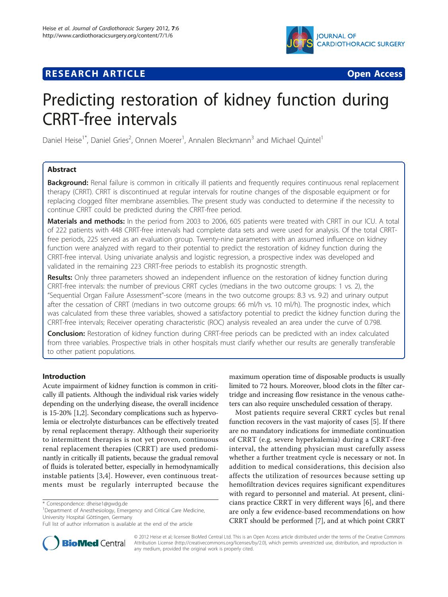

# **RESEARCH ARTICLE Example 2018 12:00 Department of the Contract Open Access**



# Predicting restoration of kidney function during CRRT-free intervals

Daniel Heise<sup>1\*</sup>, Daniel Gries<sup>2</sup>, Onnen Moerer<sup>1</sup>, Annalen Bleckmann<sup>3</sup> and Michael Quintel<sup>1</sup>

### Abstract

Background: Renal failure is common in critically ill patients and frequently requires continuous renal replacement therapy (CRRT). CRRT is discontinued at regular intervals for routine changes of the disposable equipment or for replacing clogged filter membrane assemblies. The present study was conducted to determine if the necessity to continue CRRT could be predicted during the CRRT-free period.

Materials and methods: In the period from 2003 to 2006, 605 patients were treated with CRRT in our ICU. A total of 222 patients with 448 CRRT-free intervals had complete data sets and were used for analysis. Of the total CRRTfree periods, 225 served as an evaluation group. Twenty-nine parameters with an assumed influence on kidney function were analyzed with regard to their potential to predict the restoration of kidney function during the CRRT-free interval. Using univariate analysis and logistic regression, a prospective index was developed and validated in the remaining 223 CRRT-free periods to establish its prognostic strength.

Results: Only three parameters showed an independent influence on the restoration of kidney function during CRRT-free intervals: the number of previous CRRT cycles (medians in the two outcome groups: 1 vs. 2), the "Sequential Organ Failure Assessment"-score (means in the two outcome groups: 8.3 vs. 9.2) and urinary output after the cessation of CRRT (medians in two outcome groups: 66 ml/h vs. 10 ml/h). The prognostic index, which was calculated from these three variables, showed a satisfactory potential to predict the kidney function during the CRRT-free intervals; Receiver operating characteristic (ROC) analysis revealed an area under the curve of 0.798.

**Conclusion:** Restoration of kidney function during CRRT-free periods can be predicted with an index calculated from three variables. Prospective trials in other hospitals must clarify whether our results are generally transferable to other patient populations.

### Introduction

Acute impairment of kidney function is common in critically ill patients. Although the individual risk varies widely depending on the underlying disease, the overall incidence is 15-20% [\[1,2\]](#page-5-0). Secondary complications such as hypervolemia or electrolyte disturbances can be effectively treated by renal replacement therapy. Although their superiority to intermittent therapies is not yet proven, continuous renal replacement therapies (CRRT) are used predominantly in critically ill patients, because the gradual removal of fluids is tolerated better, especially in hemodynamically instable patients [[3,4](#page-5-0)]. However, even continuous treatments must be regularly interrupted because the

<sup>1</sup>Department of Anesthesiology, Emergency and Critical Care Medicine, University Hospital Göttingen, Germany

maximum operation time of disposable products is usually limited to 72 hours. Moreover, blood clots in the filter cartridge and increasing flow resistance in the venous catheters can also require unscheduled cessation of therapy.

Most patients require several CRRT cycles but renal function recovers in the vast majority of cases [\[5\]](#page-5-0). If there are no mandatory indications for immediate continuation of CRRT (e.g. severe hyperkalemia) during a CRRT-free interval, the attending physician must carefully assess whether a further treatment cycle is necessary or not. In addition to medical considerations, this decision also affects the utilization of resources because setting up hemofiltration devices requires significant expenditures with regard to personnel and material. At present, clinicians practice CRRT in very different ways [\[6](#page-6-0)], and there are only a few evidence-based recommendations on how CRRT should be performed [\[7](#page-6-0)], and at which point CRRT



© 2012 Heise et al; licensee BioMed Central Ltd. This is an Open Access article distributed under the terms of the Creative Commons Attribution License [\(http://creativecommons.org/licenses/by/2.0](http://creativecommons.org/licenses/by/2.0)), which permits unrestricted use, distribution, and reproduction in any medium, provided the original work is properly cited.

<sup>\*</sup> Correspondence: [dheise1@gwdg.de](mailto:dheise1@gwdg.de)

Full list of author information is available at the end of the article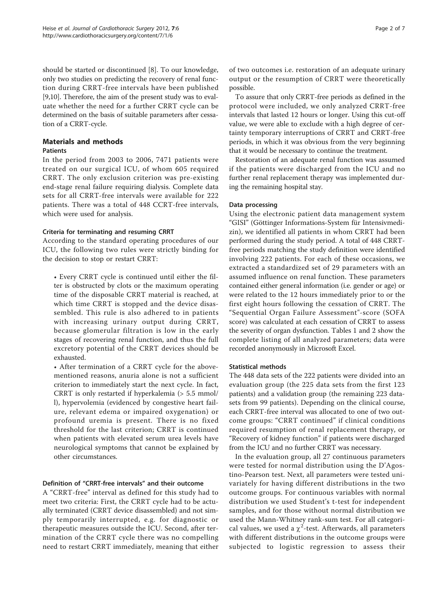should be started or discontinued [\[8](#page-6-0)]. To our knowledge, only two studies on predicting the recovery of renal function during CRRT-free intervals have been published [[9,10](#page-6-0)]. Therefore, the aim of the present study was to evaluate whether the need for a further CRRT cycle can be determined on the basis of suitable parameters after cessation of a CRRT-cycle.

## Materials and methods

#### Patients

In the period from 2003 to 2006, 7471 patients were treated on our surgical ICU, of whom 605 required CRRT. The only exclusion criterion was pre-existing end-stage renal failure requiring dialysis. Complete data sets for all CRRT-free intervals were available for 222 patients. There was a total of 448 CCRT-free intervals, which were used for analysis.

#### Criteria for terminating and resuming CRRT

According to the standard operating procedures of our ICU, the following two rules were strictly binding for the decision to stop or restart CRRT:

• Every CRRT cycle is continued until either the filter is obstructed by clots or the maximum operating time of the disposable CRRT material is reached, at which time CRRT is stopped and the device disassembled. This rule is also adhered to in patients with increasing urinary output during CRRT, because glomerular filtration is low in the early stages of recovering renal function, and thus the full excretory potential of the CRRT devices should be exhausted.

• After termination of a CRRT cycle for the abovementioned reasons, anuria alone is not a sufficient criterion to immediately start the next cycle. In fact, CRRT is only restarted if hyperkalemia (> 5.5 mmol/ l), hypervolemia (evidenced by congestive heart failure, relevant edema or impaired oxygenation) or profound uremia is present. There is no fixed threshold for the last criterion; CRRT is continued when patients with elevated serum urea levels have neurological symptoms that cannot be explained by other circumstances.

### Definition of "CRRT-free intervals" and their outcome

A "CRRT-free" interval as defined for this study had to meet two criteria: First, the CRRT cycle had to be actually terminated (CRRT device disassembled) and not simply temporarily interrupted, e.g. for diagnostic or therapeutic measures outside the ICU. Second, after termination of the CRRT cycle there was no compelling need to restart CRRT immediately, meaning that either of two outcomes i.e. restoration of an adequate urinary output or the resumption of CRRT were theoretically possible.

To assure that only CRRT-free periods as defined in the protocol were included, we only analyzed CRRT-free intervals that lasted 12 hours or longer. Using this cut-off value, we were able to exclude with a high degree of certainty temporary interruptions of CRRT and CRRT-free periods, in which it was obvious from the very beginning that it would be necessary to continue the treatment.

Restoration of an adequate renal function was assumed if the patients were discharged from the ICU and no further renal replacement therapy was implemented during the remaining hospital stay.

#### Data processing

Using the electronic patient data management system "GISI" (Göttinger Informations-System für Intensivmedizin), we identified all patients in whom CRRT had been performed during the study period. A total of 448 CRRTfree periods matching the study definition were identified involving 222 patients. For each of these occasions, we extracted a standardized set of 29 parameters with an assumed influence on renal function. These parameters contained either general information (i.e. gender or age) or were related to the 12 hours immediately prior to or the first eight hours following the cessation of CRRT. The "Sequential Organ Failure Assessment"-score (SOFA score) was calculated at each cessation of CRRT to assess the severity of organ dysfunction. Tables [1](#page-2-0) and [2](#page-3-0) show the complete listing of all analyzed parameters; data were recorded anonymously in Microsoft Excel.

#### Statistical methods

The 448 data sets of the 222 patients were divided into an evaluation group (the 225 data sets from the first 123 patients) and a validation group (the remaining 223 datasets from 99 patients). Depending on the clinical course, each CRRT-free interval was allocated to one of two outcome groups: "CRRT continued" if clinical conditions required resumption of renal replacement therapy, or "Recovery of kidney function" if patients were discharged from the ICU and no further CRRT was necessary.

In the evaluation group, all 27 continuous parameters were tested for normal distribution using the D'Agostino-Pearson test. Next, all parameters were tested univariately for having different distributions in the two outcome groups. For continuous variables with normal distribution we used Student's t-test for independent samples, and for those without normal distribution we used the Mann-Whitney rank-sum test. For all categorical values, we used a  $\chi^2$ -test. Afterwards, all parameters with different distributions in the outcome groups were subjected to logistic regression to assess their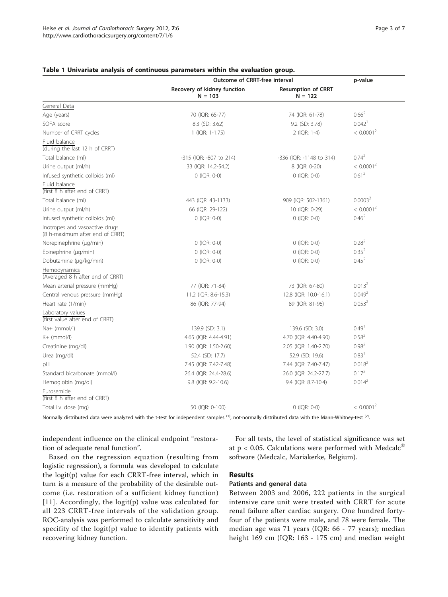|                                                      | Outcome of CRRT-free interval            | p-value                                |                       |
|------------------------------------------------------|------------------------------------------|----------------------------------------|-----------------------|
|                                                      | Recovery of kidney function<br>$N = 103$ | <b>Resumption of CRRT</b><br>$N = 122$ |                       |
| General Data                                         |                                          |                                        |                       |
| Age (years)                                          | 70 (IQR: 65-77)                          | 74 (IQR: 61-78)                        | $0.66^2$              |
| SOFA score                                           | 8.3 (SD: 3.62)                           | 9.2 (SD: 3.78)                         | $0.042$ <sup>1</sup>  |
| Number of CRRT cycles                                | 1 (IQR: 1-1.75)                          | 2 (IQR: 1-4)                           | < 0.0001 <sup>2</sup> |
| Fluid balance<br>(during the last 12 h of CRRT)      |                                          |                                        |                       |
| Total balance (ml)                                   | -315 (IQR: -807 to 214)                  | $-336$ (IQR: $-1148$ to 314)           | $0.74^{2}$            |
| Urine output (ml/h)                                  | 33 (IQR: 14.2-54.2)                      | 8 (IQR: 0-20)                          | < 0.0001 <sup>2</sup> |
| Infused synthetic colloids (ml)                      | $0$ (IQR: 0-0)                           | $O$ (IQR: 0-0)                         | 0.61 <sup>2</sup>     |
| Fluid balance<br>(first 8 h after end of CRRT)       |                                          |                                        |                       |
| Total balance (ml)                                   | 443 (IQR: 43-1133)                       | 909 (IQR: 502-1361)                    | 0.0003 <sup>2</sup>   |
| Urine output (ml/h)                                  | 66 (IQR: 29-122)                         | 10 (IQR: 0-29)                         | < 0.0001 <sup>2</sup> |
| Infused synthetic colloids (ml)                      | $0$ (IQR: 0-0)                           | $O$ (IQR: 0-0)                         | $0.46^2$              |
| Inotropes and vasoactive drugs                       |                                          |                                        |                       |
| (8 h-maximum after end of CRRT)                      |                                          |                                        |                       |
| Norepinephrine (µg/min)                              | $0$ (IQR: 0-0)                           | $0$ (IQR: 0-0)                         | $0.28^{2}$            |
| Epinephrine (µg/min)                                 | $0$ (IQR: 0-0)                           | $O$ (IQR: 0-0)                         | $0.35^{2}$            |
| Dobutamine (µg/kg/min)                               | $O$ (IQR: 0-0)                           | $O$ (IQR: 0-0)                         | $0.45^2$              |
| Hemodynamics<br>(Averaged 8 h after end of CRRT)     |                                          |                                        |                       |
| Mean arterial pressure (mmHg)                        | 77 (IQR: 71-84)                          | 73 (IQR: 67-80)                        | 0.013 <sup>2</sup>    |
| Central venous pressure (mmHg)                       | 11.2 (IQR: 8.6-15.3)                     | 12.8 (IQR: 10.0-16.1)                  | 0.049 <sup>2</sup>    |
| Heart rate (1/min)                                   | 86 (IQR: 77-94)                          | 89 (IQR: 81-96)                        | 0.053 <sup>2</sup>    |
| Laboratory values<br>(first value after end of CRRT) |                                          |                                        |                       |
| $Na+$ (mmol/l)                                       | 139.9 (SD: 3.1)                          | 139.6 (SD: 3.0)                        | 0.49 <sup>1</sup>     |
| $K+$ (mmol/l)                                        | 4.65 (IQR: 4.44-4.91)                    | 4.70 (IQR: 4.40-4.90)                  | $0.58^{2}$            |
| Creatinine (mg/dl)                                   | 1.90 (IQR: 1.50-2.60)                    | 2.05 (IQR: 1.40-2.70)                  | $0.98^{2}$            |
| Urea (mg/dl)                                         | 52.4 (SD: 17.7)                          | 52.9 (SD: 19.6)                        | 0.83 <sup>1</sup>     |
| pH                                                   | 7.45 (IQR: 7.42-7.48)                    | 7.44 (IQR: 7.40-7.47)                  | 0.018 <sup>2</sup>    |
| Standard bicarbonate (mmol/l)                        | 26.4 (IQR: 24.4-28.6)                    | 26.0 (IQR: 24.2-27.7)                  | 0.17 <sup>2</sup>     |
| Hemoglobin (mg/dl)                                   | 9.8 (IQR: 9.2-10.6)                      | 9.4 (IQR: 8.7-10.4)                    | 0.014 <sup>2</sup>    |
| Furosemide<br>(first 8 h after end of CRRT)          |                                          |                                        |                       |
| Total i.v. dose (mg)                                 | 50 (IQR: 0-100)                          | $O$ (IQR: 0-0)                         | < 0.0001 <sup>2</sup> |

#### <span id="page-2-0"></span>Table 1 Univariate analysis of continuous parameters within the evaluation group.

Normally distributed data were analyzed with the t-test for independent samples  $^{(1)}$ , not-normally distributed data with the Mann-Whitney-test  $^{(2)}$ .

independent influence on the clinical endpoint "restoration of adequate renal function".

Based on the regression equation (resulting from logistic regression), a formula was developed to calculate the logit(p) value for each CRRT-free interval, which in turn is a measure of the probability of the desirable outcome (i.e. restoration of a sufficient kidney function) [[11](#page-6-0)]. Accordingly, the logit(p) value was calculated for all 223 CRRT-free intervals of the validation group. ROC-analysis was performed to calculate sensitivity and specifity of the  $logit(p)$  value to identify patients with recovering kidney function.

For all tests, the level of statistical significance was set at  $p < 0.05$ . Calculations were performed with Medcalc<sup>®</sup> software (Medcalc, Mariakerke, Belgium).

#### Results

### Patients and general data

Between 2003 and 2006, 222 patients in the surgical intensive care unit were treated with CRRT for acute renal failure after cardiac surgery. One hundred fortyfour of the patients were male, and 78 were female. The median age was 71 years (IQR: 66 - 77 years); median height 169 cm (IQR: 163 - 175 cm) and median weight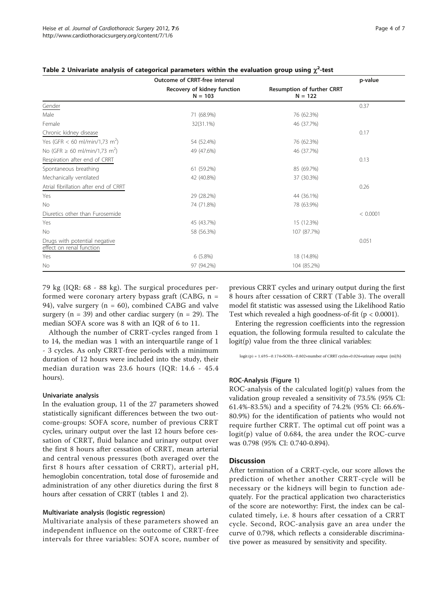|                                                           | Outcome of CRRT-free interval            |                                                | p-value  |
|-----------------------------------------------------------|------------------------------------------|------------------------------------------------|----------|
|                                                           | Recovery of kidney function<br>$N = 103$ | <b>Resumption of further CRRT</b><br>$N = 122$ |          |
| Gender                                                    |                                          |                                                | 0.37     |
| Male                                                      | 71 (68.9%)                               | 76 (62.3%)                                     |          |
| Female                                                    | 32(31.1%)                                | 46 (37.7%)                                     |          |
| Chronic kidney disease                                    |                                          |                                                | 0.17     |
| Yes (GFR < 60 ml/min/1,73 m <sup>2</sup> )                | 54 (52.4%)                               | 76 (62.3%)                                     |          |
| No (GFR $\geq$ 60 ml/min/1,73 m <sup>2</sup> )            | 49 (47.6%)                               | 46 (37.7%)                                     |          |
| Respiration after end of CRRT                             |                                          |                                                | 0.13     |
| Spontaneous breathing                                     | 61 (59.2%)                               | 85 (69.7%)                                     |          |
| Mechanically ventilated                                   | 42 (40.8%)                               | 37 (30.3%)                                     |          |
| Atrial fibrillation after end of CRRT                     |                                          |                                                | 0.26     |
| Yes                                                       | 29 (28.2%)                               | 44 (36.1%)                                     |          |
| No                                                        | 74 (71.8%)                               | 78 (63.9%)                                     |          |
| Diuretics other than Furosemide                           |                                          |                                                | < 0.0001 |
| Yes                                                       | 45 (43.7%)                               | 15 (12.3%)                                     |          |
| <b>No</b>                                                 | 58 (56.3%)                               | 107 (87.7%)                                    |          |
| Drugs with potential negative<br>effect on renal function |                                          |                                                | 0.051    |
| Yes                                                       | $6(5.8\%)$                               | 18 (14.8%)                                     |          |
| No                                                        | 97 (94.2%)                               | 104 (85.2%)                                    |          |

<span id="page-3-0"></span>

| Table 2 Univariate analysis of categorical parameters within the evaluation group using $\chi^2$ -test |  |  |  |  |
|--------------------------------------------------------------------------------------------------------|--|--|--|--|
|--------------------------------------------------------------------------------------------------------|--|--|--|--|

79 kg (IQR: 68 - 88 kg). The surgical procedures performed were coronary artery bypass graft (CABG,  $n =$ 94), valve surgery ( $n = 60$ ), combined CABG and valve surgery ( $n = 39$ ) and other cardiac surgery ( $n = 29$ ). The median SOFA score was 8 with an IQR of 6 to 11.

Although the number of CRRT-cycles ranged from 1 to 14, the median was 1 with an interquartile range of 1 - 3 cycles. As only CRRT-free periods with a minimum duration of 12 hours were included into the study, their median duration was 23.6 hours (IQR: 14.6 - 45.4 hours).

#### Univariate analysis

In the evaluation group, 11 of the 27 parameters showed statistically significant differences between the two outcome-groups: SOFA score, number of previous CRRT cycles, urinary output over the last 12 hours before cessation of CRRT, fluid balance and urinary output over the first 8 hours after cessation of CRRT, mean arterial and central venous pressures (both averaged over the first 8 hours after cessation of CRRT), arterial pH, hemoglobin concentration, total dose of furosemide and administration of any other diuretics during the first 8 hours after cessation of CRRT (tables [1](#page-2-0) and 2).

#### Multivariate analysis (logistic regression)

Multivariate analysis of these parameters showed an independent influence on the outcome of CRRT-free intervals for three variables: SOFA score, number of previous CRRT cycles and urinary output during the first 8 hours after cessation of CRRT (Table [3](#page-4-0)). The overall model fit statistic was assessed using the Likelihood Ratio Test which revealed a high goodness-of-fit ( $p < 0.0001$ ).

Entering the regression coefficients into the regression equation, the following formula resulted to calculate the logit(p) value from the three clinical variables:

logit (p) = 1.695–0.174∗SOFA–0.802∗number of CRRT cycles+0.026∗urinary output  $(m!/h)$ 

#### ROC-Analysis (Figure [1\)](#page-4-0)

ROC-analysis of the calculated logit(p) values from the validation group revealed a sensitivity of 73.5% (95% CI: 61.4%-83.5%) and a specifity of 74.2% (95% CI: 66.6%- 80.9%) for the identification of patients who would not require further CRRT. The optimal cut off point was a logit(p) value of 0.684, the area under the ROC-curve was 0.798 (95% CI: 0.740-0.894).

#### **Discussion**

After termination of a CRRT-cycle, our score allows the prediction of whether another CRRT-cycle will be necessary or the kidneys will begin to function adequately. For the practical application two characteristics of the score are noteworthy: First, the index can be calculated timely, i.e. 8 hours after cessation of a CRRT cycle. Second, ROC-analysis gave an area under the curve of 0.798, which reflects a considerable discriminative power as measured by sensitivity and specifity.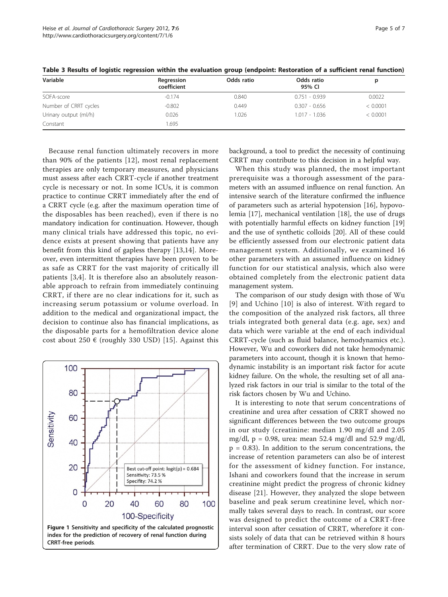| Variable              | Regression<br>coefficient | Odds ratio | Odds ratio<br>95% CI |          |
|-----------------------|---------------------------|------------|----------------------|----------|
| SOFA-score            | $-0.174$                  | 0.840      | $0.751 - 0.939$      | 0.0022   |
| Number of CRRT cycles | $-0.802$                  | 0.449      | $0.307 - 0.656$      | < 0.0001 |
| Urinary output (ml/h) | 0.026                     | 1.026      | $1.017 - 1.036$      | < 0.0001 |
| Constant              | 1.695                     |            |                      |          |

<span id="page-4-0"></span>Table 3 Results of logistic regression within the evaluation group (endpoint: Restoration of a sufficient renal function)

Because renal function ultimately recovers in more than 90% of the patients [\[12\]](#page-6-0), most renal replacement therapies are only temporary measures, and physicians must assess after each CRRT-cycle if another treatment cycle is necessary or not. In some ICUs, it is common practice to continue CRRT immediately after the end of a CRRT cycle (e.g. after the maximum operation time of the disposables has been reached), even if there is no mandatory indication for continuation. However, though many clinical trials have addressed this topic, no evidence exists at present showing that patients have any benefit from this kind of gapless therapy [[13,14\]](#page-6-0). Moreover, even intermittent therapies have been proven to be as safe as CRRT for the vast majority of critically ill patients [[3,4](#page-5-0)]. It is therefore also an absolutely reasonable approach to refrain from immediately continuing CRRT, if there are no clear indications for it, such as increasing serum potassium or volume overload. In addition to the medical and organizational impact, the decision to continue also has financial implications, as the disposable parts for a hemofiltration device alone cost about 250  $\epsilon$  (roughly 330 USD) [[15](#page-6-0)]. Against this



background, a tool to predict the necessity of continuing CRRT may contribute to this decision in a helpful way.

When this study was planned, the most important prerequisite was a thorough assessment of the parameters with an assumed influence on renal function. An intensive search of the literature confirmed the influence of parameters such as arterial hypotension [[16\]](#page-6-0), hypovolemia [[17\]](#page-6-0), mechanical ventilation [\[18](#page-6-0)], the use of drugs with potentially harmful effects on kidney function [\[19](#page-6-0)] and the use of synthetic colloids [[20\]](#page-6-0). All of these could be efficiently assessed from our electronic patient data management system. Additionally, we examined 16 other parameters with an assumed influence on kidney function for our statistical analysis, which also were obtained completely from the electronic patient data management system.

The comparison of our study design with those of Wu [[9](#page-6-0)] and Uchino [[10](#page-6-0)] is also of interest. With regard to the composition of the analyzed risk factors, all three trials integrated both general data (e.g. age, sex) and data which were variable at the end of each individual CRRT-cycle (such as fluid balance, hemodynamics etc.). However, Wu and coworkers did not take hemodynamic parameters into account, though it is known that hemodynamic instability is an important risk factor for acute kidney failure. On the whole, the resulting set of all analyzed risk factors in our trial is similar to the total of the risk factors chosen by Wu and Uchino.

It is interesting to note that serum concentrations of creatinine and urea after cessation of CRRT showed no significant differences between the two outcome groups in our study (creatinine: median 1.90 mg/dl and 2.05 mg/dl,  $p = 0.98$ , urea: mean 52.4 mg/dl and 52.9 mg/dl,  $p = 0.83$ ). In addition to the serum concentrations, the increase of retention parameters can also be of interest for the assessment of kidney function. For instance, Ishani and coworkers found that the increase in serum creatinine might predict the progress of chronic kidney disease [[21\]](#page-6-0). However, they analyzed the slope between baseline and peak serum creatinine level, which normally takes several days to reach. In contrast, our score was designed to predict the outcome of a CRRT-free interval soon after cessation of CRRT, wherefore it consists solely of data that can be retrieved within 8 hours after termination of CRRT. Due to the very slow rate of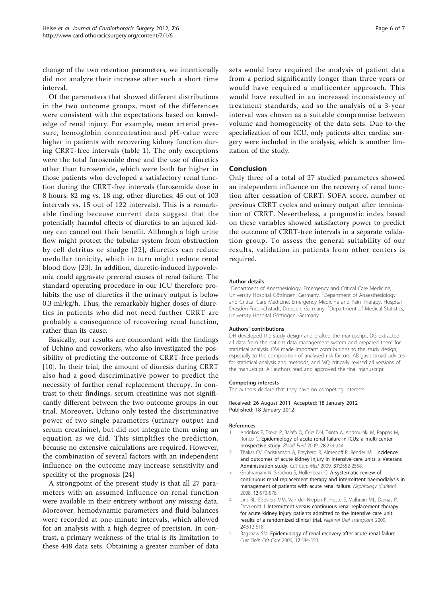<span id="page-5-0"></span>change of the two retention parameters, we intentionally did not analyze their increase after such a short time interval.

Of the parameters that showed different distributions in the two outcome groups, most of the differences were consistent with the expectations based on knowledge of renal injury. For example, mean arterial pressure, hemoglobin concentration and pH-value were higher in patients with recovering kidney function during CRRT-free intervals (table [1\)](#page-2-0). The only exceptions were the total furosemide dose and the use of diuretics other than furosemide, which were both far higher in those patients who developed a satisfactory renal function during the CRRT-free intervals (furosemide dose in 8 hours: 82 mg vs. 18 mg, other diuretics: 45 out of 103 intervals vs. 15 out of 122 intervals). This is a remarkable finding because current data suggest that the potentially harmful effects of diuretics to an injured kidney can cancel out their benefit. Although a high urine flow might protect the tubular system from obstruction by cell detritus or sludge [[22\]](#page-6-0), diuretics can reduce medullar tonicity, which in turn might reduce renal blood flow [[23\]](#page-6-0). In addition, diuretic-induced hypovolemia could aggravate prerenal causes of renal failure. The standard operating procedure in our ICU therefore prohibits the use of diuretics if the urinary output is below 0.3 ml/kg/h. Thus, the remarkably higher doses of diuretics in patients who did not need further CRRT are probably a consequence of recovering renal function, rather than its cause.

Basically, our results are concordant with the findings of Uchino and coworkers, who also investigated the possibility of predicting the outcome of CRRT-free periods [[10\]](#page-6-0). In their trial, the amount of diuresis during CRRT also had a good discriminative power to predict the necessity of further renal replacement therapy. In contrast to their findings, serum creatinine was not significantly different between the two outcome groups in our trial. Moreover, Uchino only tested the discriminative power of two single parameters (urinary output and serum creatinine), but did not integrate them using an equation as we did. This simplifies the prediction, because no extensive calculations are required. However, the combination of several factors with an independent influence on the outcome may increase sensitivity and specifity of the prognosis [[24\]](#page-6-0)

A strongpoint of the present study is that all 27 parameters with an assumed influence on renal function were available in their entirety without any missing data. Moreover, hemodynamic parameters and fluid balances were recorded at one-minute intervals, which allowed for an analysis with a high degree of precision. In contrast, a primary weakness of the trial is its limitation to these 448 data sets. Obtaining a greater number of data sets would have required the analysis of patient data from a period significantly longer than three years or would have required a multicenter approach. This would have resulted in an increased inconsistency of treatment standards, and so the analysis of a 3-year interval was chosen as a suitable compromise between volume and homogeneity of the data sets. Due to the specialization of our ICU, only patients after cardiac surgery were included in the analysis, which is another limitation of the study.

#### Conclusion

Only three of a total of 27 studied parameters showed an independent influence on the recovery of renal function after cessation of CRRT: SOFA score, number of previous CRRT cycles and urinary output after termination of CRRT. Nevertheless, a prognostic index based on these variables showed satisfactory power to predict the outcome of CRRT-free intervals in a separate validation group. To assess the general suitability of our results, validation in patients from other centers is required.

#### Author details

<sup>1</sup>Department of Anesthesiology, Emergency and Critical Care Medicine, University Hospital Göttingen, Germany. <sup>2</sup> Department of Anaesthesiology and Critical Care Medicine, Emergency Medicine and Pain Therapy, Hospital Dresden-Friedrichstadt, Dresden, Germany. <sup>3</sup>Department of Medical Statistics University Hospital Göttingen, Germany.

#### Authors' contributions

DH developed the study design and drafted the manuscript. DG extracted all data from the patient data management system and prepared them for statistical analysis. OM made important contributions to the study design, especially to the composition of analysed risk factors. AB gave broad advices for statistical analysis and methods, and MQ critically revised all versions of the manuscript. All authors read and approved the final manuscript.

#### Competing interests

The authors declare that they have no competing interests.

Received: 26 August 2011 Accepted: 18 January 2012 Published: 18 January 2012

#### References

- 1. Andrikos E, Tseke P, Balafa O, Cruz DN, Tsinta A, Androulaki M, Pappas M, Ronco C: [Epidemiology of acute renal failure in ICUs: a multi-center](http://www.ncbi.nlm.nih.gov/pubmed/19684390?dopt=Abstract) [prospective study.](http://www.ncbi.nlm.nih.gov/pubmed/19684390?dopt=Abstract) Blood Purif 2009, 28:239-244.
- 2. Thakar CV, Christianson A, Freyberg R, Almenoff P, Render ML: [Incidence](http://www.ncbi.nlm.nih.gov/pubmed/19602973?dopt=Abstract) [and outcomes of acute kidney injury in intensive care units: a Veterans](http://www.ncbi.nlm.nih.gov/pubmed/19602973?dopt=Abstract) [Administration study.](http://www.ncbi.nlm.nih.gov/pubmed/19602973?dopt=Abstract) Crit Care Med 2009, 37:2552-2558.
- 3. Ghahramani N, Shadrou S, Hollenbeak C: A systematic review of continuous renal replacement therapy and intermittent haemodialysis in management of patients with acute renal failure. Nephrology (Carlton) 2008, 13:570-578.
- 4. Lins RL, Elseviers MM, Van der Niepen P, Hoste E, Malbrain ML, Damas P, Devriendt J: [Intermittent versus continuous renal replacement therapy](http://www.ncbi.nlm.nih.gov/pubmed/18854418?dopt=Abstract) [for acute kidney injury patients admitted to the intensive care unit:](http://www.ncbi.nlm.nih.gov/pubmed/18854418?dopt=Abstract) [results of a randomized clinical trial.](http://www.ncbi.nlm.nih.gov/pubmed/18854418?dopt=Abstract) Nephrol Dial Transplant 2009, 24:512-518.
- 5. Bagshaw SM: [Epidemiology of renal recovery after acute renal failure.](http://www.ncbi.nlm.nih.gov/pubmed/17077684?dopt=Abstract) Curr Opin Crit Care 2006, 12:544-550.